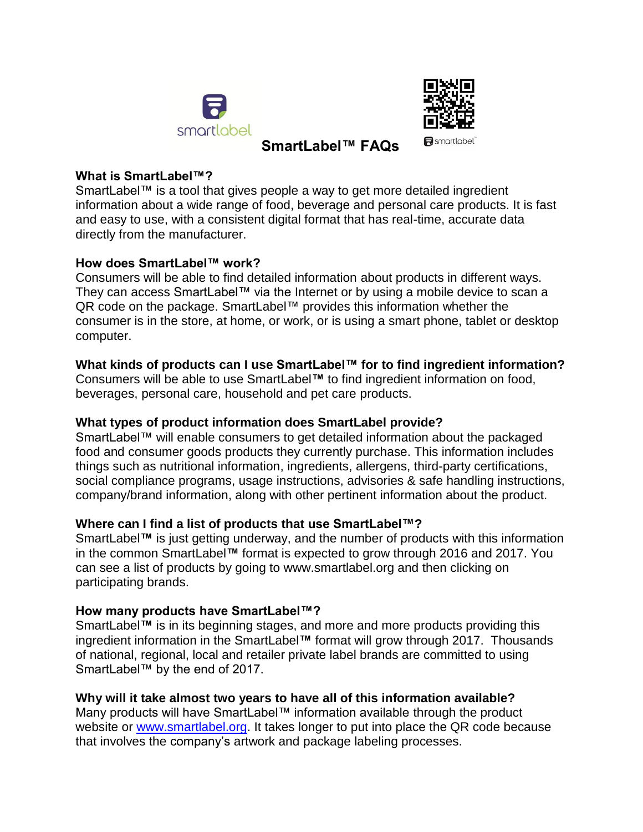



# **SmartLabel™ FAQs**

**R** smortlobel

#### **What is SmartLabel™?**

SmartLabel™ is a tool that gives people a way to get more detailed ingredient information about a wide range of food, beverage and personal care products. It is fast and easy to use, with a consistent digital format that has real-time, accurate data directly from the manufacturer.

#### **How does SmartLabel™ work?**

Consumers will be able to find detailed information about products in different ways. They can access SmartLabel™ via the Internet or by using a mobile device to scan a QR code on the package. SmartLabel™ provides this information whether the consumer is in the store, at home, or work, or is using a smart phone, tablet or desktop computer.

#### **What kinds of products can I use SmartLabel™ for to find ingredient information?**

Consumers will be able to use SmartLabel**™** to find ingredient information on food, beverages, personal care, household and pet care products.

## **What types of product information does SmartLabel provide?**

SmartLabel™ will enable consumers to get detailed information about the packaged food and consumer goods products they currently purchase. This information includes things such as nutritional information, ingredients, allergens, third-party certifications, social compliance programs, usage instructions, advisories & safe handling instructions, company/brand information, along with other pertinent information about the product.

#### **Where can I find a list of products that use SmartLabel™?**

SmartLabel**™** is just getting underway, and the number of products with this information in the common SmartLabel**™** format is expected to grow through 2016 and 2017. You can see a list of products by going to www.smartlabel.org and then clicking on participating brands.

#### **How many products have SmartLabel™?**

SmartLabel**™** is in its beginning stages, and more and more products providing this ingredient information in the SmartLabel**™** format will grow through 2017. Thousands of national, regional, local and retailer private label brands are committed to using SmartLabel™ by the end of 2017.

#### **Why will it take almost two years to have all of this information available?**

Many products will have SmartLabel™ information available through the product website or [www.smartlabel.org.](http://www.smartlabel.org/) It takes longer to put into place the QR code because that involves the company's artwork and package labeling processes.